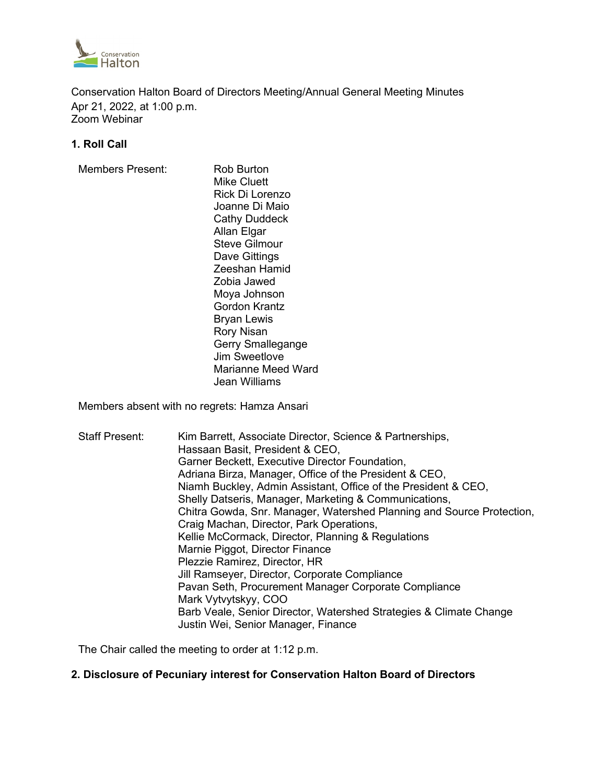

Conservation Halton Board of Directors Meeting/Annual General Meeting Minutes Apr 21, 2022, at 1:00 p.m. Zoom Webinar

### **1. Roll Call**

Members Present: Rob Burton

Mike Cluett Rick Di Lorenzo Joanne Di Maio Cathy Duddeck Allan Elgar Steve Gilmour Dave Gittings Zeeshan Hamid Zobia Jawed Moya Johnson Gordon Krantz Bryan Lewis Rory Nisan Gerry Smallegange Jim Sweetlove Marianne Meed Ward Jean Williams

Members absent with no regrets: Hamza Ansari

Staff Present: Kim Barrett, Associate Director, Science & Partnerships, Hassaan Basit, President & CEO, Garner Beckett, Executive Director Foundation, Adriana Birza, Manager, Office of the President & CEO, Niamh Buckley, Admin Assistant, Office of the President & CEO, Shelly Datseris, Manager, Marketing & Communications, Chitra Gowda, Snr. Manager, Watershed Planning and Source Protection, Craig Machan, Director, Park Operations, Kellie McCormack, Director, Planning & Regulations Marnie Piggot, Director Finance Plezzie Ramirez, Director, HR Jill Ramseyer, Director, Corporate Compliance Pavan Seth, Procurement Manager Corporate Compliance Mark Vytvytskyy, COO Barb Veale, Senior Director, Watershed Strategies & Climate Change Justin Wei, Senior Manager, Finance

The Chair called the meeting to order at 1:12 p.m.

### **2. Disclosure of Pecuniary interest for Conservation Halton Board of Directors**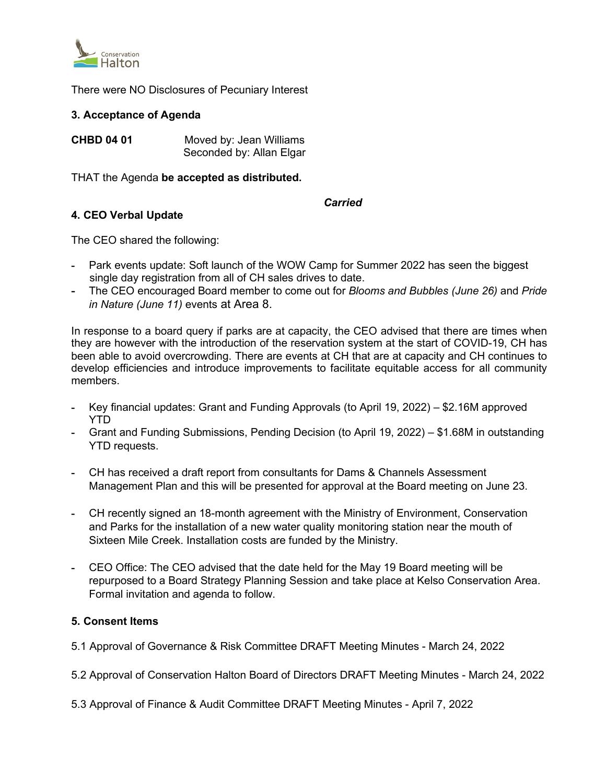

There were NO Disclosures of Pecuniary Interest

### **3. Acceptance of Agenda**

**CHBD 04 01** Moved by: Jean Williams Seconded by: Allan Elgar

THAT the Agenda **be accepted as distributed.**

### *Carried*

## **4. CEO Verbal Update**

The CEO shared the following:

- **-** Park events update: Soft launch of the WOW Camp for Summer 2022 has seen the biggest single day registration from all of CH sales drives to date.
- **-** The CEO encouraged Board member to come out for *Blooms and Bubbles (June 26)* and *Pride in Nature (June 11)* events at Area 8.

In response to a board query if parks are at capacity, the CEO advised that there are times when they are however with the introduction of the reservation system at the start of COVID-19, CH has been able to avoid overcrowding. There are events at CH that are at capacity and CH continues to develop efficiencies and introduce improvements to facilitate equitable access for all community members.

- **-** Key financial updates: Grant and Funding Approvals (to April 19, 2022) \$2.16M approved YTD
- **-** Grant and Funding Submissions, Pending Decision (to April 19, 2022) \$1.68M in outstanding YTD requests.
- **-** CH has received a draft report from consultants for Dams & Channels Assessment Management Plan and this will be presented for approval at the Board meeting on June 23.
- **-** CH recently signed an 18-month agreement with the Ministry of Environment, Conservation and Parks for the installation of a new water quality monitoring station near the mouth of Sixteen Mile Creek. Installation costs are funded by the Ministry.
- **-** CEO Office: The CEO advised that the date held for the May 19 Board meeting will be repurposed to a Board Strategy Planning Session and take place at Kelso Conservation Area. Formal invitation and agenda to follow.

## **5. Consent Items**

- 5.1 Approval of Governance & Risk Committee DRAFT Meeting Minutes March 24, 2022
- 5.2 Approval of Conservation Halton Board of Directors DRAFT Meeting Minutes March 24, 2022
- 5.3 Approval of Finance & Audit Committee DRAFT Meeting Minutes April 7, 2022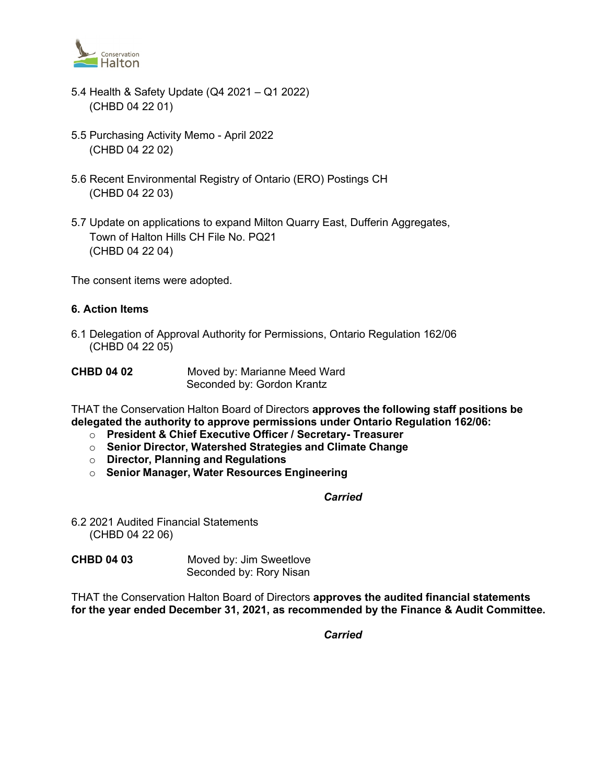

- 5.4 Health & Safety Update (Q4 2021 Q1 2022) (CHBD 04 22 01)
- 5.5 Purchasing Activity Memo April 2022 (CHBD 04 22 02)
- 5.6 Recent Environmental Registry of Ontario (ERO) Postings CH (CHBD 04 22 03)
- 5.7 Update on applications to expand Milton Quarry East, Dufferin Aggregates, Town of Halton Hills CH File No. PQ21 (CHBD 04 22 04)

The consent items were adopted.

## **6. Action Items**

6.1 Delegation of Approval Authority for Permissions, Ontario Regulation 162/06 (CHBD 04 22 05)

| <b>CHBD 04 02</b> | Moved by: Marianne Meed Ward |
|-------------------|------------------------------|
|                   | Seconded by: Gordon Krantz   |

THAT the Conservation Halton Board of Directors **approves the following staff positions be delegated the authority to approve permissions under Ontario Regulation 162/06:**

- o **President & Chief Executive Officer / Secretary- Treasurer**
- o **Senior Director, Watershed Strategies and Climate Change**
- o **Director, Planning and Regulations**
- o **Senior Manager, Water Resources Engineering**

#### *Carried*

6.2 2021 Audited Financial Statements (CHBD 04 22 06)

| <b>CHBD 04 03</b> | Moved by: Jim Sweetlove |
|-------------------|-------------------------|
|                   | Seconded by: Rory Nisan |

THAT the Conservation Halton Board of Directors **approves the audited financial statements for the year ended December 31, 2021, as recommended by the Finance & Audit Committee.**

*Carried*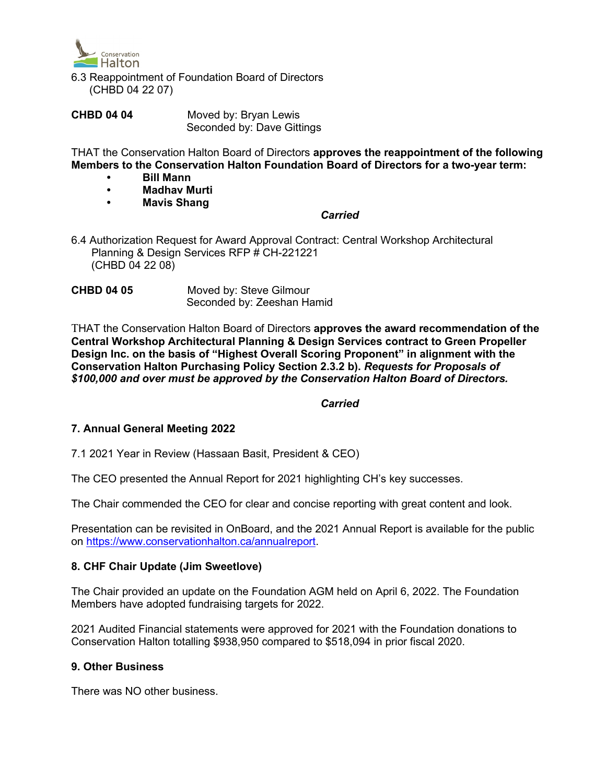

- 6.3 Reappointment of Foundation Board of Directors (CHBD 04 22 07)
- **CHBD 04 04** Moved by: Bryan Lewis Seconded by: Dave Gittings

THAT the Conservation Halton Board of Directors **approves the reappointment of the following Members to the Conservation Halton Foundation Board of Directors for a two-year term:**

- **Bill Mann**
- **Madhav Murti**
- **Mavis Shang**

# *Carried Carried*

6.4 Authorization Request for Award Approval Contract: Central Workshop Architectural Planning & Design Services RFP # CH-221221 (CHBD 04 22 08)

**CHBD 04 05** Moved by: Steve Gilmour Seconded by: Zeeshan Hamid

THAT the Conservation Halton Board of Directors **approves the award recommendation of the Central Workshop Architectural Planning & Design Services contract to Green Propeller Design Inc. on the basis of "Highest Overall Scoring Proponent" in alignment with the Conservation Halton Purchasing Policy Section 2.3.2 b).** *Requests for Proposals of \$100,000 and over must be approved by the Conservation Halton Board of Directors.*

## *Carried*

## **7. Annual General Meeting 2022**

7.1 2021 Year in Review (Hassaan Basit, President & CEO)

The CEO presented the Annual Report for 2021 highlighting CH's key successes.

The Chair commended the CEO for clear and concise reporting with great content and look.

Presentation can be revisited in OnBoard, and the 2021 Annual Report is available for the public on [https://www.conservationhalton.ca/annualreport.](https://www.conservationhalton.ca/annualreport)

## **8. CHF Chair Update (Jim Sweetlove)**

The Chair provided an update on the Foundation AGM held on April 6, 2022. The Foundation Members have adopted fundraising targets for 2022.

2021 Audited Financial statements were approved for 2021 with the Foundation donations to Conservation Halton totalling \$938,950 compared to \$518,094 in prior fiscal 2020.

## **9. Other Business**

There was NO other business.